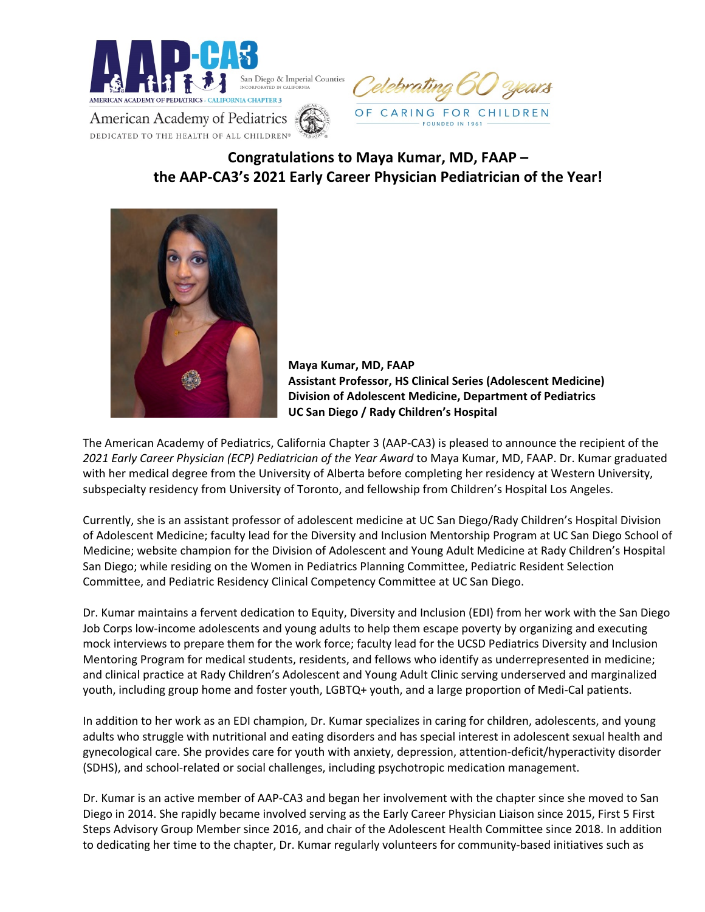



**American Academy of Pediatrics** DEDICATED TO THE HEALTH OF ALL CHILDREN®

## **Congratulations to Maya Kumar, MD, FAAP – the AAP-CA3's 2021 Early Career Physician Pediatrician of the Year!**



**Maya Kumar, MD, FAAP Assistant Professor, HS Clinical Series (Adolescent Medicine) Division of Adolescent Medicine, Department of Pediatrics UC San Diego / Rady Children's Hospital** 

The American Academy of Pediatrics, California Chapter 3 (AAP-CA3) is pleased to announce the recipient of the *2021 Early Career Physician (ECP) Pediatrician of the Year Award* to Maya Kumar, MD, FAAP. Dr. Kumar graduated with her medical degree from the University of Alberta before completing her residency at Western University, subspecialty residency from University of Toronto, and fellowship from Children's Hospital Los Angeles.

Currently, she is an assistant professor of adolescent medicine at UC San Diego/Rady Children's Hospital Division of Adolescent Medicine; faculty lead for the Diversity and Inclusion Mentorship Program at UC San Diego School of Medicine; website champion for the Division of Adolescent and Young Adult Medicine at Rady Children's Hospital San Diego; while residing on the Women in Pediatrics Planning Committee, Pediatric Resident Selection Committee, and Pediatric Residency Clinical Competency Committee at UC San Diego.

Dr. Kumar maintains a fervent dedication to Equity, Diversity and Inclusion (EDI) from her work with the San Diego Job Corps low-income adolescents and young adults to help them escape poverty by organizing and executing mock interviews to prepare them for the work force; faculty lead for the UCSD Pediatrics Diversity and Inclusion Mentoring Program for medical students, residents, and fellows who identify as underrepresented in medicine; and clinical practice at Rady Children's Adolescent and Young Adult Clinic serving underserved and marginalized youth, including group home and foster youth, LGBTQ+ youth, and a large proportion of Medi-Cal patients.

In addition to her work as an EDI champion, Dr. Kumar specializes in caring for children, adolescents, and young adults who struggle with nutritional and eating disorders and has special interest in adolescent sexual health and gynecological care. She provides care for youth with anxiety, depression, attention-deficit/hyperactivity disorder (SDHS), and school-related or social challenges, including psychotropic medication management.

Dr. Kumar is an active member of AAP-CA3 and began her involvement with the chapter since she moved to San Diego in 2014. She rapidly became involved serving as the Early Career Physician Liaison since 2015, First 5 First Steps Advisory Group Member since 2016, and chair of the Adolescent Health Committee since 2018. In addition to dedicating her time to the chapter, Dr. Kumar regularly volunteers for community-based initiatives such as